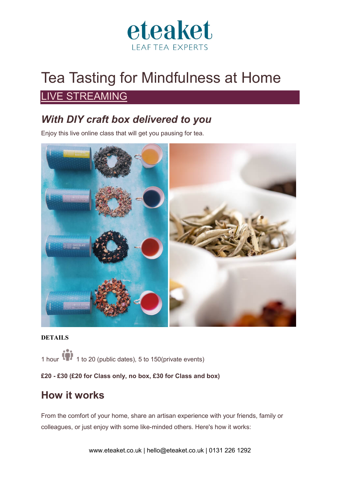

# Tea Tasting for Mindfulness at Home

### **IVE STREAMING**

## *With DIY craft box delivered to you*

Enjoy this live online class that will get you pausing for tea.



#### **DETAILS**

1 hour 1 1 to 20 (public dates), 5 to 150 (private events)

l**£20 - £30 (£20 for Class only, no box, £30 for Class and box)**

### **How it works**

From the comfort of your home, share an artisan experience with your friends, family or colleagues, or just enjoy with some like-minded others. Here's how it works: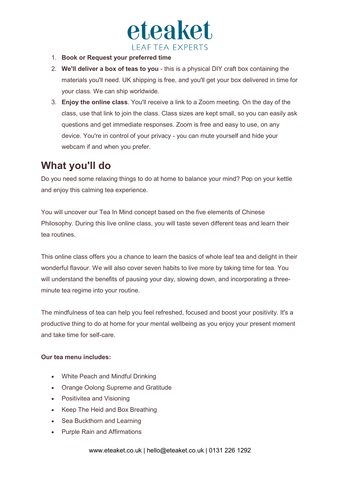

- 1. **Book or Request your preferred time**
- 2. **We'll deliver a box of teas to you** this is a physical DIY craft box containing the materials you'll need. UK shipping is free, and you'll get your box delivered in time for your class. We can ship worldwide.
- 3. **Enjoy the online class**. You'll receive a link to a Zoom meeting. On the day of the class, use that link to join the class. Class sizes are kept small, so you can easily ask questions and get immediate responses. Zoom is free and easy to use, on any device. You're in control of your privacy - you can mute yourself and hide your webcam if and when you prefer.

### **What you'll do**

Do you need some relaxing things to do at home to balance your mind? Pop on your kettle and enjoy this calming tea experience.

You will uncover our Tea In Mind concept based on the five elements of Chinese Philosophy. During this live online class, you will taste seven different teas and learn their tea routines.

This online class offers you a chance to learn the basics of whole leaf tea and delight in their wonderful flavour. We will also cover seven habits to live more by taking time for tea. You will understand the benefits of pausing your day, slowing down, and incorporating a threeminute tea regime into your routine.

The mindfulness of tea can help you feel refreshed, focused and boost your positivity. It's a productive thing to do at home for your mental wellbeing as you enjoy your present moment and take time for self-care.

#### **Our tea menu includes:**

- White Peach and Mindful Drinking
- Orange Oolong Supreme and Gratitude
- Positivitea and Visioning
- Keep The Heid and Box Breathing
- Sea Buckthorn and Learning
- Purple Rain and Affirmations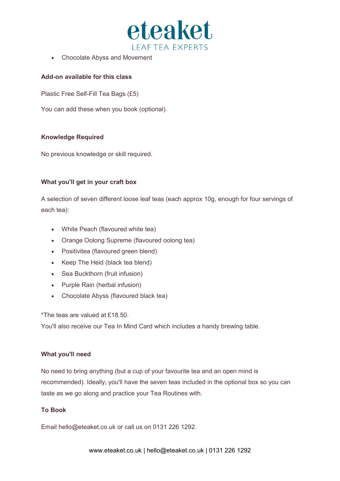

• Chocolate Abyss and Movement

#### **Add-on available for this class**

Plastic Free Self-Fill Tea Bags (£5)

You can add these when you book (optional).

#### **Knowledge Required**

No previous knowledge or skill required.

#### **What you'll get in your craft box**

A selection of seven different loose leaf teas (each approx 10g, enough for four servings of each tea):

- White Peach (flavoured white tea)
- Orange Oolong Supreme (flavoured oolong tea)
- Positivitea (flavoured green blend)
- Keep The Heid (black tea blend)
- Sea Buckthorn (fruit infusion)
- Purple Rain (herbal infusion)
- Chocolate Abyss (flavoured black tea)

\*The teas are valued at £18.50.

You'll also receive our Tea In Mind Card which includes a handy brewing table.

#### **What you'll need**

No need to bring anything (but a cup of your favourite tea and an open mind is recommended). Ideally, you'll have the seven teas included in the optional box so you can taste as we go along and practice your Tea Routines with.

#### **To Book**

Email hello@eteaket.co.uk or call us on 0131 226 1292.